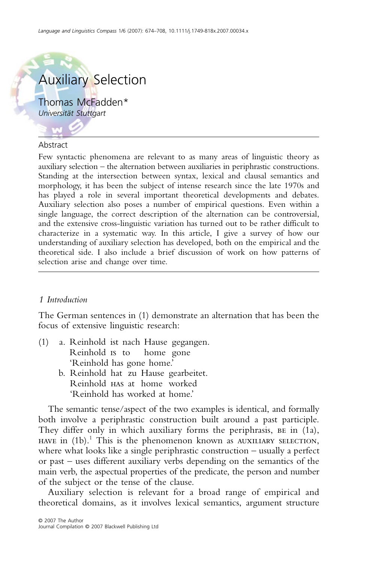

#### Abstract

Few syntactic phenomena are relevant to as many areas of linguistic theory as auxiliary selection – the alternation between auxiliaries in periphrastic constructions. Standing at the intersection between syntax, lexical and clausal semantics and morphology, it has been the subject of intense research since the late 1970s and has played a role in several important theoretical developments and debates. Auxiliary selection also poses a number of empirical questions. Even within a single language, the correct description of the alternation can be controversial, and the extensive cross-linguistic variation has turned out to be rather difficult to characterize in a systematic way. In this article, I give a survey of how our understanding of auxiliary selection has developed, both on the empirical and the theoretical side. I also include a brief discussion of work on how patterns of selection arise and change over time.

## *1 Introduction*

The German sentences in (1) demonstrate an alternation that has been the focus of extensive linguistic research:

(1) a. Reinhold ist nach Hause gegangen. Reinhold is to home gone 'Reinhold has gone home.' b. Reinhold hat zu Hause gearbeitet. Reinhold has at home worked 'Reinhold has worked at home.'

The semantic tense/aspect of the two examples is identical, and formally both involve a periphrastic construction built around a past participle. They differ only in which auxiliary forms the periphrasis, BE in (1a), HAVE in  $(1b)$ .<sup>1</sup> This is the phenomenon known as AUXILIARY SELECTION, where what looks like a single periphrastic construction – usually a perfect or past – uses different auxiliary verbs depending on the semantics of the main verb, the aspectual properties of the predicate, the person and number of the subject or the tense of the clause.

Auxiliary selection is relevant for a broad range of empirical and theoretical domains, as it involves lexical semantics, argument structure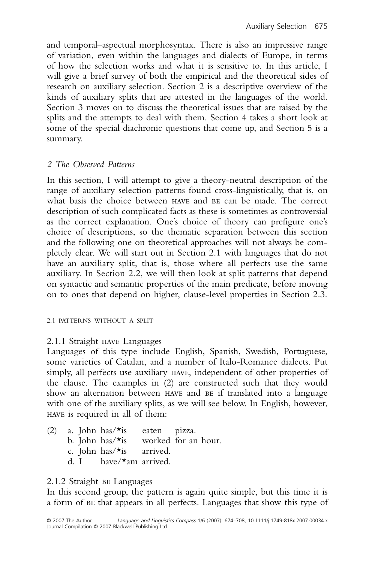and temporal–aspectual morphosyntax. There is also an impressive range of variation, even within the languages and dialects of Europe, in terms of how the selection works and what it is sensitive to. In this article, I will give a brief survey of both the empirical and the theoretical sides of research on auxiliary selection. Section 2 is a descriptive overview of the kinds of auxiliary splits that are attested in the languages of the world. Section 3 moves on to discuss the theoretical issues that are raised by the splits and the attempts to deal with them. Section 4 takes a short look at some of the special diachronic questions that come up, and Section 5 is a summary.

# *2 The Observed Patterns*

In this section, I will attempt to give a theory-neutral description of the range of auxiliary selection patterns found cross-linguistically, that is, on what basis the choice between have and be can be made. The correct description of such complicated facts as these is sometimes as controversial as the correct explanation. One's choice of theory can prefigure one's choice of descriptions, so the thematic separation between this section and the following one on theoretical approaches will not always be completely clear. We will start out in Section 2.1 with languages that do not have an auxiliary split, that is, those where all perfects use the same auxiliary. In Section 2.2, we will then look at split patterns that depend on syntactic and semantic properties of the main predicate, before moving on to ones that depend on higher, clause-level properties in Section 2.3.

## 2.1 PATTERNS WITHOUT A SPLIT

# 2.1.1 Straight have Languages

Languages of this type include English, Spanish, Swedish, Portuguese, some varieties of Catalan, and a number of Italo-Romance dialects. Put simply, all perfects use auxiliary have, independent of other properties of the clause. The examples in (2) are constructed such that they would show an alternation between have and be if translated into a language with one of the auxiliary splits, as we will see below. In English, however, have is required in all of them:

|  | (2) a. John has/ $\star$ is                 | eaten pizza. |  |
|--|---------------------------------------------|--------------|--|
|  | b. John has/ $\star$ is worked for an hour. |              |  |
|  | c. John has/ $\star$ is arrived.            |              |  |
|  | d. I have/ $\star$ am arrived.              |              |  |

# 2.1.2 Straight be Languages

In this second group, the pattern is again quite simple, but this time it is a form of be that appears in all perfects. Languages that show this type of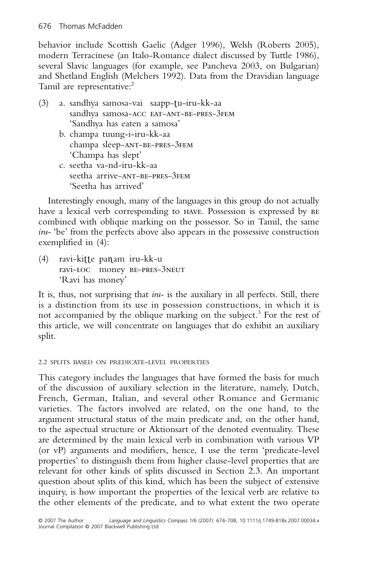behavior include Scottish Gaelic (Adger 1996), Welsh (Roberts 2005), modern Terracinese (an Italo-Romance dialect discussed by Tuttle 1986), several Slavic languages (for example, see Pancheva 2003, on Bulgarian) and Shetland English (Melchers 1992). Data from the Dravidian language Tamil are representative:<sup>2</sup>

- $(3)$  a. sandhya samosa-vai saapp- $\mu$ -iru-kk-aa sandhya samosa-ACC EAT-ANT-BE-PRES-3FEM 'Sandhya has eaten a samosa'
	- b. champa tuung-i-iru-kk-aa champa sleep-ant-be-pres-3fem 'Champa has slept'
	- c. seetha va-nd-iru-kk-aa seetha arrive-ANT-BE-PRES-3FEM 'Seetha has arrived'

Interestingly enough, many of the languages in this group do not actually have a lexical verb corresponding to HAVE. Possession is expressed by BE combined with oblique marking on the possessor. So in Tamil, the same *iru-* 'be' from the perfects above also appears in the possessive construction exemplified in (4):

(4) ravi-kitte panam iru-kk-u ravi-loc money be-pres-3neut 'Ravi has money'

It is, thus, not surprising that *iru-* is the auxiliary in all perfects. Still, there is a distinction from its use in possession constructions, in which it is not accompanied by the oblique marking on the subject.<sup>3</sup> For the rest of this article, we will concentrate on languages that do exhibit an auxiliary split.

# 2.2 SPLITS BASED ON PREDICATE-LEVEL PROPERTIES

This category includes the languages that have formed the basis for much of the discussion of auxiliary selection in the literature, namely, Dutch, French, German, Italian, and several other Romance and Germanic varieties. The factors involved are related, on the one hand, to the argument structural status of the main predicate and, on the other hand, to the aspectual structure or Aktionsart of the denoted eventuality. These are determined by the main lexical verb in combination with various VP (or vP) arguments and modifiers, hence, I use the term 'predicate-level properties' to distinguish them from higher clause-level properties that are relevant for other kinds of splits discussed in Section 2.3. An important question about splits of this kind, which has been the subject of extensive inquiry, is how important the properties of the lexical verb are relative to the other elements of the predicate, and to what extent the two operate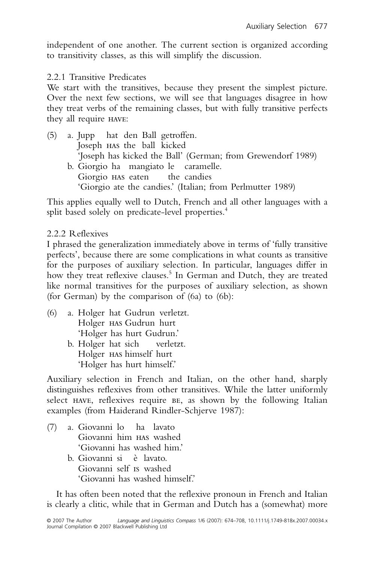independent of one another. The current section is organized according to transitivity classes, as this will simplify the discussion.

## 2.2.1 Transitive Predicates

We start with the transitives, because they present the simplest picture. Over the next few sections, we will see that languages disagree in how they treat verbs of the remaining classes, but with fully transitive perfects they all require have:

(5) a. Jupp hat den Ball getroffen. Joseph has the ball kicked 'Joseph has kicked the Ball' (German; from Grewendorf 1989) b. Giorgio ha mangiato le caramelle. Giorgio HAS eaten the candies 'Giorgio ate the candies.' (Italian; from Perlmutter 1989)

This applies equally well to Dutch, French and all other languages with a split based solely on predicate-level properties.<sup>4</sup>

## 2.2.2 Reflexives

I phrased the generalization immediately above in terms of 'fully transitive perfects', because there are some complications in what counts as transitive for the purposes of auxiliary selection. In particular, languages differ in how they treat reflexive clauses.<sup>5</sup> In German and Dutch, they are treated like normal transitives for the purposes of auxiliary selection, as shown (for German) by the comparison of (6a) to (6b):

(6) a. Holger hat Gudrun verletzt. Holger has Gudrun hurt 'Holger has hurt Gudrun.' b. Holger hat sich verletzt. Holger has himself hurt 'Holger has hurt himself.'

Auxiliary selection in French and Italian, on the other hand, sharply distinguishes reflexives from other transitives. While the latter uniformly select HAVE, reflexives require BE, as shown by the following Italian examples (from Haiderand Rindler-Schjerve 1987):

(7) a. Giovanni lo ha lavato Giovanni him has washed 'Giovanni has washed him.' b. Giovanni si è lavato. Giovanni self is washed 'Giovanni has washed himself.'

It has often been noted that the reflexive pronoun in French and Italian is clearly a clitic, while that in German and Dutch has a (somewhat) more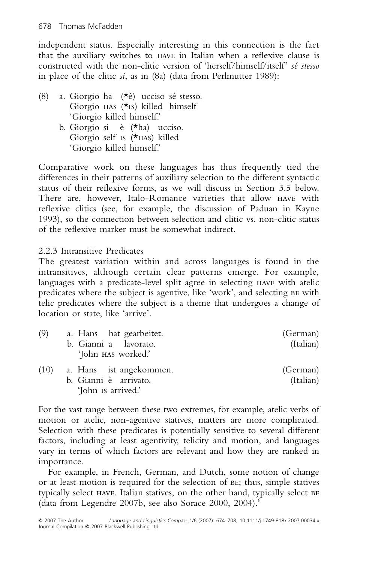independent status. Especially interesting in this connection is the fact that the auxiliary switches to have in Italian when a reflexive clause is constructed with the non-clitic version of 'herself/himself/itself' *sé stesso* in place of the clitic *si*, as in (8a) (data from Perlmutter 1989):

- (8) a. Giorgio ha (\*è) ucciso sé stesso. Giorgio  $HAS$  ( $\star$ <sub>IS</sub>) killed himself 'Giorgio killed himself.'
	- b. Giorgio si è (\*ha) ucciso. Giorgio self is (\*has) killed 'Giorgio killed himself.'

Comparative work on these languages has thus frequently tied the differences in their patterns of auxiliary selection to the different syntactic status of their reflexive forms, as we will discuss in Section 3.5 below. There are, however, Italo-Romance varieties that allow have with reflexive clitics (see, for example, the discussion of Paduan in Kayne 1993), so the connection between selection and clitic vs. non-clitic status of the reflexive marker must be somewhat indirect.

2.2.3 Intransitive Predicates

The greatest variation within and across languages is found in the intransitives, although certain clear patterns emerge. For example, languages with a predicate-level split agree in selecting have with atelic predicates where the subject is agentive, like 'work', and selecting be with telic predicates where the subject is a theme that undergoes a change of location or state, like 'arrive'.

| (9)  | a. Hans hat gearbeitet.<br>b. Gianni a lavorato.<br>'John HAS worked.' | (German)<br>(Italian) |
|------|------------------------------------------------------------------------|-----------------------|
| (10) | a. Hans ist angekommen.<br>b. Gianni è arrivato.<br>'John Is arrived.' | (German)<br>(Italian) |

For the vast range between these two extremes, for example, atelic verbs of motion or atelic, non-agentive statives, matters are more complicated. Selection with these predicates is potentially sensitive to several different factors, including at least agentivity, telicity and motion, and languages vary in terms of which factors are relevant and how they are ranked in importance.

For example, in French, German, and Dutch, some notion of change or at least motion is required for the selection of be; thus, simple statives typically select have. Italian statives, on the other hand, typically select be (data from Legendre 2007b, see also Sorace 2000, 2004).<sup>6</sup>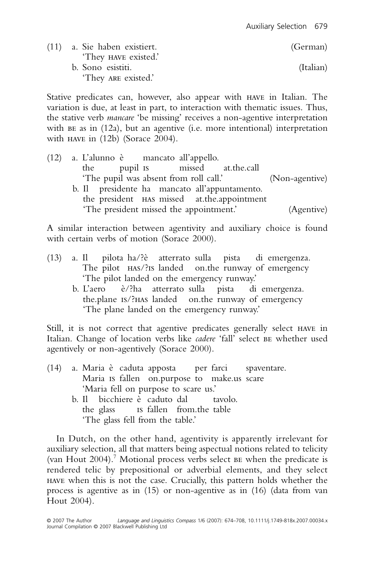| $(11)$ a. Sie haben existiert. | (German)  |
|--------------------------------|-----------|
| They HAVE existed.             |           |
| b. Sono esistiti.              | (Italian) |
| 'They ARE existed.'            |           |

Stative predicates can, however, also appear with have in Italian. The variation is due, at least in part, to interaction with thematic issues. Thus, the stative verb *mancare* 'be missing' receives a non-agentive interpretation with be as in (12a), but an agentive (i.e. more intentional) interpretation with have in (12b) (Sorace 2004).

(12) a. L'alunno è mancato all'appello. the pupil is missed at.the.call 'The pupil was absent from roll call.' (Non-agentive) b. Il presidente ha mancato all'appuntamento. the president has missed at.the.appointment 'The president missed the appointment.' (Agentive)

A similar interaction between agentivity and auxiliary choice is found with certain verbs of motion (Sorace 2000).

- (13) a. Il pilota ha/?è atterrato sulla pista di emergenza. The pilot HAS/?IS landed on.the runway of emergency 'The pilot landed on the emergency runway.'
	- b. L'aero è/?ha atterrato sulla pista di emergenza. the.plane is/?has landed on.the runway of emergency 'The plane landed on the emergency runway.'

Still, it is not correct that agentive predicates generally select have in Italian. Change of location verbs like *cadere* 'fall' select be whether used agentively or non-agentively (Sorace 2000).

- (14) a. Maria è caduta apposta per farci spaventare. Maria is fallen on.purpose to make.us scare 'Maria fell on purpose to scare us.'
	- b. Il bicchiere è caduto dal tavolo. the glass is fallen from.the table 'The glass fell from the table.'

In Dutch, on the other hand, agentivity is apparently irrelevant for auxiliary selection, all that matters being aspectual notions related to telicity (van Hout 2004).<sup>7</sup> Motional process verbs select BE when the predicate is rendered telic by prepositional or adverbial elements, and they select have when this is not the case. Crucially, this pattern holds whether the process is agentive as in (15) or non-agentive as in (16) (data from van Hout 2004).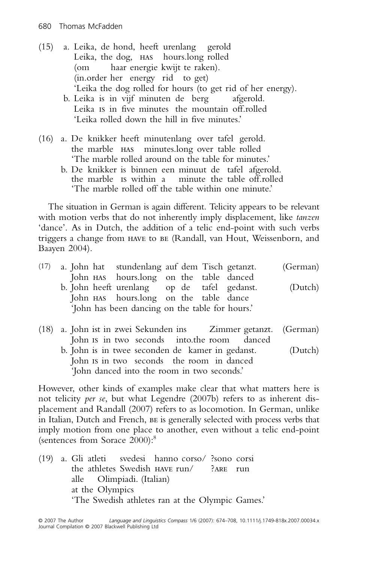- (15) a. Leika, de hond, heeft urenlang gerold Leika, the dog, HAS hours.long rolled (om haar energie kwijt te raken). (in.order her energy rid to get) 'Leika the dog rolled for hours (to get rid of her energy). b. Leika is in vijf minuten de berg afgerold. Leika is in five minutes the mountain off.rolled 'Leika rolled down the hill in five minutes.'
- (16) a. De knikker heeft minutenlang over tafel gerold. the marble has minutes.long over table rolled 'The marble rolled around on the table for minutes.'
	- b. De knikker is binnen een minuut de tafel afgerold. the marble is within a minute the table off.rolled 'The marble rolled off the table within one minute.'

The situation in German is again different. Telicity appears to be relevant with motion verbs that do not inherently imply displacement, like *tanzen* 'dance'. As in Dutch, the addition of a telic end-point with such verbs triggers a change from have to be (Randall, van Hout, Weissenborn, and Baayen 2004).

- (17) a. John hat stundenlang auf dem Tisch getanzt. (German) John has hours.long on the table danced b. John heeft urenlang op de tafel gedanst. (Dutch) John has hours.long on the table dance 'John has been dancing on the table for hours.'
- (18) a. John ist in zwei Sekunden ins Zimmer getanzt. (German) John is in two seconds into.the room danced b. John is in twee seconden de kamer in gedanst. (Dutch) John is in two seconds the room in danced 'John danced into the room in two seconds.'

However, other kinds of examples make clear that what matters here is not telicity *per se*, but what Legendre (2007b) refers to as inherent displacement and Randall (2007) refers to as locomotion. In German, unlike in Italian, Dutch and French, be is generally selected with process verbs that imply motion from one place to another, even without a telic end-point (sentences from Sorace 2000):<sup>8</sup>

(19) a. Gli atleti svedesi hanno corso/ ?sono corsi the athletes Swedish have run/ ?are run alle Olimpiadi. (Italian) at the Olympics 'The Swedish athletes ran at the Olympic Games.'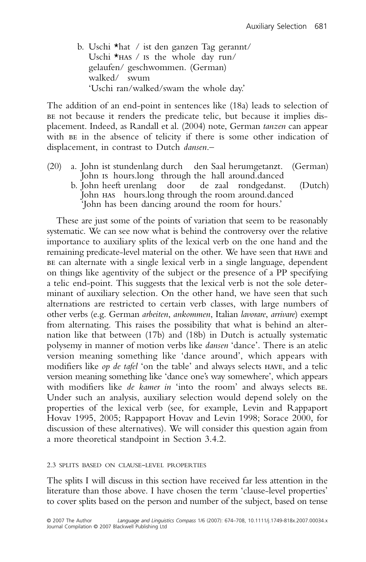b. Uschi \*hat / ist den ganzen Tag gerannt/ Uschi  $\star$ HAS / Is the whole day run/ gelaufen/ geschwommen. (German) walked/ swum 'Uschi ran/walked/swam the whole day.'

The addition of an end-point in sentences like (18a) leads to selection of be not because it renders the predicate telic, but because it implies displacement. Indeed, as Randall et al. (2004) note, German *tanzen* can appear with be in the absence of telicity if there is some other indication of displacement, in contrast to Dutch *dansen*.–

- (20) a. John ist stundenlang durch den Saal herumgetanzt. (German) John is hours.long through the hall around.danced
	- b. John heeft urenlang door de zaal rondgedanst. (Dutch) John has hours.long through the room around.danced 'John has been dancing around the room for hours.'

These are just some of the points of variation that seem to be reasonably systematic. We can see now what is behind the controversy over the relative importance to auxiliary splits of the lexical verb on the one hand and the remaining predicate-level material on the other. We have seen that have and be can alternate with a single lexical verb in a single language, dependent on things like agentivity of the subject or the presence of a PP specifying a telic end-point. This suggests that the lexical verb is not the sole determinant of auxiliary selection. On the other hand, we have seen that such alternations are restricted to certain verb classes, with large numbers of other verbs (e.g. German *arbeiten*, *ankommen*, Italian *lavorare*, *arrivare*) exempt from alternating. This raises the possibility that what is behind an alternation like that between (17b) and (18b) in Dutch is actually systematic polysemy in manner of motion verbs like *dansen* 'dance'. There is an atelic version meaning something like 'dance around', which appears with modifiers like *op de tafel* 'on the table' and always selects have, and a telic version meaning something like 'dance one's way somewhere', which appears with modifiers like *de kamer in* 'into the room' and always selects be. Under such an analysis, auxiliary selection would depend solely on the properties of the lexical verb (see, for example, Levin and Rappaport Hovav 1995, 2005; Rappaport Hovav and Levin 1998; Sorace 2000, for discussion of these alternatives). We will consider this question again from a more theoretical standpoint in Section 3.4.2.

#### 2.3 SPLITS BASED ON CLAUSE-LEVEL PROPERTIES

The splits I will discuss in this section have received far less attention in the literature than those above. I have chosen the term 'clause-level properties' to cover splits based on the person and number of the subject, based on tense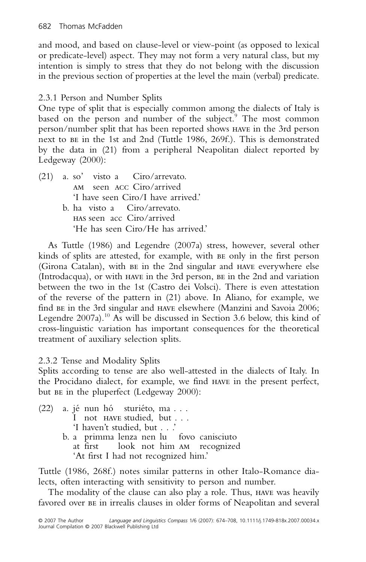and mood, and based on clause-level or view-point (as opposed to lexical or predicate-level) aspect. They may not form a very natural class, but my intention is simply to stress that they do not belong with the discussion in the previous section of properties at the level the main (verbal) predicate.

# 2.3.1 Person and Number Splits

One type of split that is especially common among the dialects of Italy is based on the person and number of the subject.<sup>9</sup> The most common person/number split that has been reported shows have in the 3rd person next to be in the 1st and 2nd (Tuttle 1986, 269f.). This is demonstrated by the data in (21) from a peripheral Neapolitan dialect reported by Ledgeway (2000):

- (21) a. so' visto a Ciro/arrevato. am seen acc Ciro/arrived 'I have seen Ciro/I have arrived.' b. ha visto a Ciro/arrevato. has seen acc Ciro/arrived
	- 'He has seen Ciro/He has arrived.'

As Tuttle (1986) and Legendre (2007a) stress, however, several other kinds of splits are attested, for example, with be only in the first person (Girona Catalan), with be in the 2nd singular and have everywhere else (Introdacqua), or with have in the 3rd person, be in the 2nd and variation between the two in the 1st (Castro dei Volsci). There is even attestation of the reverse of the pattern in (21) above. In Aliano, for example, we find be in the 3rd singular and have elsewhere (Manzini and Savoia 2006; Legendre  $2007a$ ).<sup>10</sup> As will be discussed in Section 3.6 below, this kind of cross-linguistic variation has important consequences for the theoretical treatment of auxiliary selection splits.

# 2.3.2 Tense and Modality Splits

Splits according to tense are also well-attested in the dialects of Italy. In the Procidano dialect, for example, we find have in the present perfect, but BE in the pluperfect (Ledgeway 2000):

| (22) a. jé nun hó sturiéto, ma           |
|------------------------------------------|
| I not HAVE studied, but                  |
| 'I haven't studied, but'                 |
| b. a primma lenza nen lu fovo canisciuto |
| at first look not him AM recognized      |
| 'At first I had not recognized him.'     |

Tuttle (1986, 268f.) notes similar patterns in other Italo-Romance dialects, often interacting with sensitivity to person and number.

The modality of the clause can also play a role. Thus, HAVE was heavily favored over be in irrealis clauses in older forms of Neapolitan and several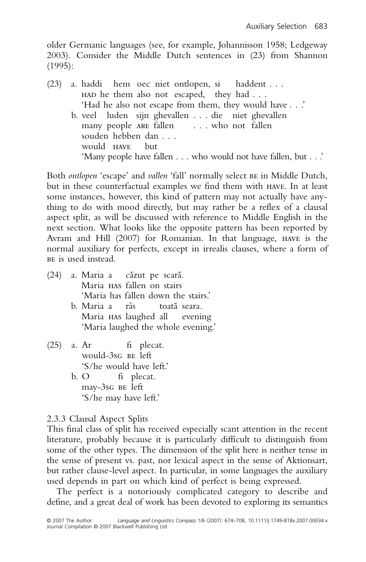older Germanic languages (see, for example, Johannisson 1958; Ledgeway 2003). Consider the Middle Dutch sentences in (23) from Shannon (1995):

(23) a. haddi hem oec niet ontlopen, si haddent . . . HAD he them also not escaped, they had . . . 'Had he also not escape from them, they would have . . .' b. veel luden sijn ghevallen . . . die niet ghevallen many people ARE fallen . . . who not fallen souden hebben dan . . . would have but 'Many people have fallen . . . who would not have fallen, but . . .'

Both *ontlopen* 'escape' and *vallen* 'fall' normally select be in Middle Dutch, but in these counterfactual examples we find them with have. In at least some instances, however, this kind of pattern may not actually have anything to do with mood directly, but may rather be a reflex of a clausal aspect split, as will be discussed with reference to Middle English in the next section. What looks like the opposite pattern has been reported by Avram and Hill (2007) for Romanian. In that language, have is the normal auxiliary for perfects, except in irrealis clauses, where a form of be is used instead.

- $(24)$  a. Maria a căzut pe scară. Maria has fallen on stairs 'Maria has fallen down the stairs.' b. Maria a râs toata seara. Maria has laughed all evening 'Maria laughed the whole evening.'
- $(25)$  a. Ar fi plecat. would-3sg be left 'S/he would have left.' b. O fi plecat. may-3sg be left
	- 'S/he may have left.'

# 2.3.3 Clausal Aspect Splits

This final class of split has received especially scant attention in the recent literature, probably because it is particularly difficult to distinguish from some of the other types. The dimension of the split here is neither tense in the sense of present vs. past, nor lexical aspect in the sense of Aktionsart, but rather clause-level aspect. In particular, in some languages the auxiliary used depends in part on which kind of perfect is being expressed.

The perfect is a notoriously complicated category to describe and define, and a great deal of work has been devoted to exploring its semantics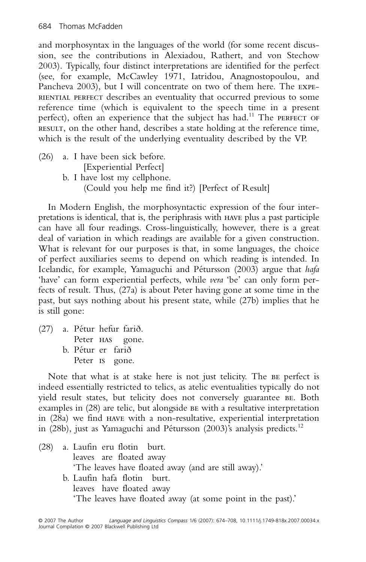and morphosyntax in the languages of the world (for some recent discussion, see the contributions in Alexiadou, Rathert, and von Stechow 2003). Typically, four distinct interpretations are identified for the perfect (see, for example, McCawley 1971, Iatridou, Anagnostopoulou, and Pancheva 2003), but I will concentrate on two of them here. The experiential perfect describes an eventuality that occurred previous to some reference time (which is equivalent to the speech time in a present perfect), often an experience that the subject has had.<sup>11</sup> The PERFECT OF result, on the other hand, describes a state holding at the reference time, which is the result of the underlying eventuality described by the VP.

- (26) a. I have been sick before. [Experiential Perfect]
	- b. I have lost my cellphone. (Could you help me find it?) [Perfect of Result]

In Modern English, the morphosyntactic expression of the four interpretations is identical, that is, the periphrasis with have plus a past participle can have all four readings. Cross-linguistically, however, there is a great deal of variation in which readings are available for a given construction. What is relevant for our purposes is that, in some languages, the choice of perfect auxiliaries seems to depend on which reading is intended. In Icelandic, for example, Yamaguchi and Pétursson (2003) argue that *hafa* 'have' can form experiential perfects, while *vera* 'be' can only form perfects of result. Thus, (27a) is about Peter having gone at some time in the past, but says nothing about his present state, while (27b) implies that he is still gone:

(27) a. Pétur hefur farið. Peter **HAS** gone. b. Pétur er farið Peter is gone.

Note that what is at stake here is not just telicity. The be perfect is indeed essentially restricted to telics, as atelic eventualities typically do not yield result states, but telicity does not conversely guarantee be. Both examples in (28) are telic, but alongside be with a resultative interpretation in (28a) we find have with a non-resultative, experiential interpretation in (28b), just as Yamaguchi and Pétursson (2003)'s analysis predicts.<sup>12</sup>

- (28) a. Laufin eru flotin burt. leaves are floated away 'The leaves have floated away (and are still away).' b. Laufin hafa flotin burt. leaves have floated away
	- 'The leaves have floated away (at some point in the past).'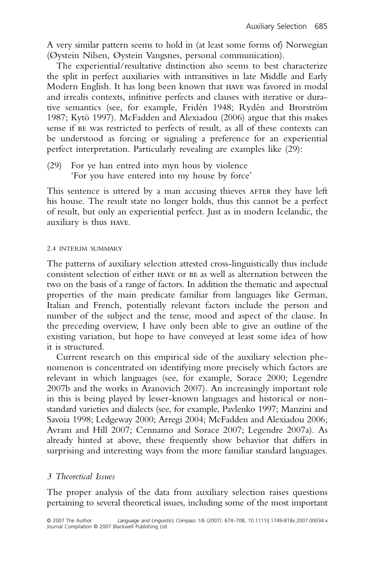A very similar pattern seems to hold in (at least some forms of) Norwegian (Øystein Nilsen, Øystein Vangsnes, personal communication).

The experiential/resultative distinction also seems to best characterize the split in perfect auxiliaries with intransitives in late Middle and Early Modern English. It has long been known that have was favored in modal and irrealis contexts, infinitive perfects and clauses with iterative or durative semantics (see, for example, Fridén 1948; Rydén and Brorström 1987; Kytö 1997). McFadden and Alexiadou (2006) argue that this makes sense if be was restricted to perfects of result, as all of these contexts can be understood as forcing or signaling a preference for an experiential perfect interpretation. Particularly revealing are examples like (29):

(29) For ye han entred into myn hous by violence 'For you have entered into my house by force'

This sentence is uttered by a man accusing thieves AFTER they have left his house. The result state no longer holds, thus this cannot be a perfect of result, but only an experiential perfect. Just as in modern Icelandic, the auxiliary is thus have.

#### 2.4 INTERIM SUMMARY

The patterns of auxiliary selection attested cross-linguistically thus include consistent selection of either have or be as well as alternation between the two on the basis of a range of factors. In addition the thematic and aspectual properties of the main predicate familiar from languages like German, Italian and French, potentially relevant factors include the person and number of the subject and the tense, mood and aspect of the clause. In the preceding overview, I have only been able to give an outline of the existing variation, but hope to have conveyed at least some idea of how it is structured.

Current research on this empirical side of the auxiliary selection phenomenon is concentrated on identifying more precisely which factors are relevant in which languages (see, for example, Sorace 2000; Legendre 2007b and the works in Aranovich 2007). An increasingly important role in this is being played by lesser-known languages and historical or nonstandard varieties and dialects (see, for example, Pavlenko 1997; Manzini and Savoia 1998; Ledgeway 2000; Arregi 2004; McFadden and Alexiadou 2006; Avram and Hill 2007; Cennamo and Sorace 2007; Legendre 2007a). As already hinted at above, these frequently show behavior that differs in surprising and interesting ways from the more familiar standard languages.

# *3 Theoretical Issues*

The proper analysis of the data from auxiliary selection raises questions pertaining to several theoretical issues, including some of the most important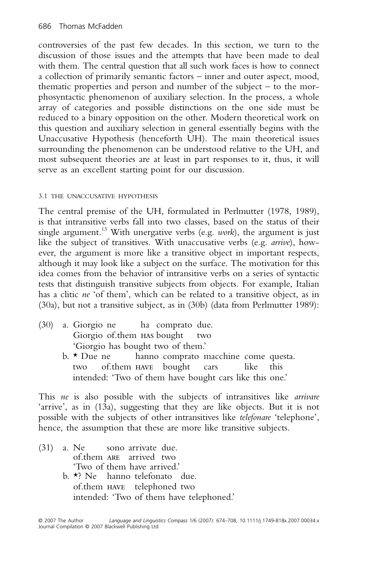controversies of the past few decades. In this section, we turn to the discussion of those issues and the attempts that have been made to deal with them. The central question that all such work faces is how to connect a collection of primarily semantic factors – inner and outer aspect, mood, thematic properties and person and number of the subject – to the morphosyntactic phenomenon of auxiliary selection. In the process, a whole array of categories and possible distinctions on the one side must be reduced to a binary opposition on the other. Modern theoretical work on this question and auxiliary selection in general essentially begins with the Unaccusative Hypothesis (henceforth UH). The main theoretical issues surrounding the phenomenon can be understood relative to the UH, and most subsequent theories are at least in part responses to it, thus, it will serve as an excellent starting point for our discussion.

## 3.1 THE UNACCUSATIVE HYPOTHESIS

The central premise of the UH, formulated in Perlmutter (1978, 1989), is that intransitive verbs fall into two classes, based on the status of their single argument.<sup>13</sup> With unergative verbs (e.g. *work*), the argument is just like the subject of transitives. With unaccusative verbs (e.g. *arrive*), however, the argument is more like a transitive object in important respects, although it may look like a subject on the surface. The motivation for this idea comes from the behavior of intransitive verbs on a series of syntactic tests that distinguish transitive subjects from objects. For example, Italian has a clitic *ne* 'of them', which can be related to a transitive object, as in (30a), but not a transitive subject, as in (30b) (data from Perlmutter 1989):

- (30) a. Giorgio ne ha comprato due. Giorgio of them has bought two 'Giorgio has bought two of them.'
	- $b. \star$  Due ne hanno comprato macchine come questa. two of.them have bought cars like this intended: 'Two of them have bought cars like this one.'

This *ne* is also possible with the subjects of intransitives like *arrivare* 'arrive', as in (13a), suggesting that they are like objects. But it is not possible with the subjects of other intransitives like *telefonare* 'telephone', hence, the assumption that these are more like transitive subjects.

(31) a. Ne sono arrivate due. of.them are arrived two 'Two of them have arrived.' b. \*? Ne hanno telefonato due. of.them have telephoned two intended: 'Two of them have telephoned.'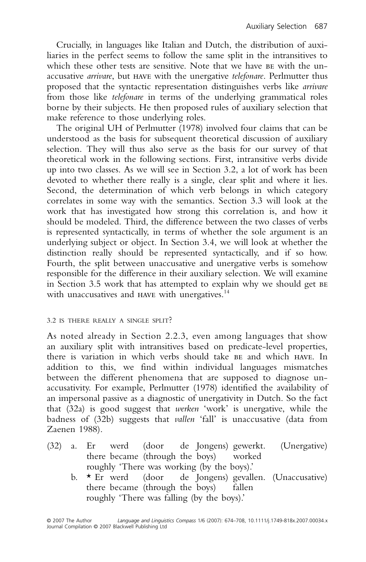Crucially, in languages like Italian and Dutch, the distribution of auxiliaries in the perfect seems to follow the same split in the intransitives to which these other tests are sensitive. Note that we have be with the unaccusative *arrivare*, but have with the unergative *telefonare*. Perlmutter thus proposed that the syntactic representation distinguishes verbs like *arrivare* from those like *telefonare* in terms of the underlying grammatical roles borne by their subjects. He then proposed rules of auxiliary selection that make reference to those underlying roles.

The original UH of Perlmutter (1978) involved four claims that can be understood as the basis for subsequent theoretical discussion of auxiliary selection. They will thus also serve as the basis for our survey of that theoretical work in the following sections. First, intransitive verbs divide up into two classes. As we will see in Section 3.2, a lot of work has been devoted to whether there really is a single, clear split and where it lies. Second, the determination of which verb belongs in which category correlates in some way with the semantics. Section 3.3 will look at the work that has investigated how strong this correlation is, and how it should be modeled. Third, the difference between the two classes of verbs is represented syntactically, in terms of whether the sole argument is an underlying subject or object. In Section 3.4, we will look at whether the distinction really should be represented syntactically, and if so how. Fourth, the split between unaccusative and unergative verbs is somehow responsible for the difference in their auxiliary selection. We will examine in Section 3.5 work that has attempted to explain why we should get be with unaccusatives and HAVE with unergatives.<sup>14</sup>

## 3.2 IS THERE REALLY <sup>A</sup> SINGLE SPLIT?

As noted already in Section 2.2.3, even among languages that show an auxiliary split with intransitives based on predicate-level properties, there is variation in which verbs should take be and which have. In addition to this, we find within individual languages mismatches between the different phenomena that are supposed to diagnose unaccusativity. For example, Perlmutter (1978) identified the availability of an impersonal passive as a diagnostic of unergativity in Dutch. So the fact that (32a) is good suggest that *werken* 'work' is unergative, while the badness of (32b) suggests that *vallen* 'fall' is unaccusative (data from Zaenen 1988).

- (32) a. Er werd (door de Jongens) gewerkt. (Unergative) there became (through the boys) worked roughly 'There was working (by the boys).'
	- b. \* Er werd (door de Jongens) gevallen. (Unaccusative) there became (through the boys) fallen roughly 'There was falling (by the boys).'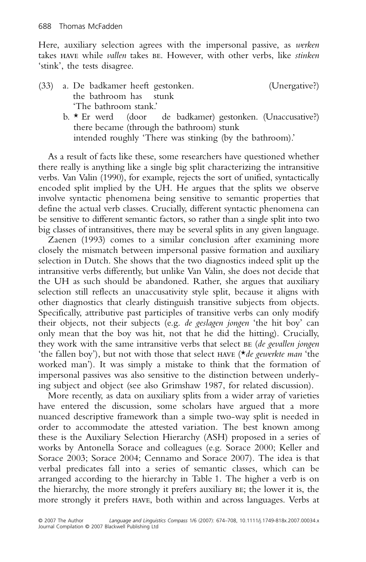Here, auxiliary selection agrees with the impersonal passive, as *werken* takes have while *vallen* takes be. However, with other verbs, like *stinken* 'stink', the tests disagree.

- (33) a. De badkamer heeft gestonken. (Unergative?) the bathroom has stunk 'The bathroom stank.'
	- b. \* Er werd (door de badkamer) gestonken. (Unaccusative?) there became (through the bathroom) stunk intended roughly 'There was stinking (by the bathroom).'

As a result of facts like these, some researchers have questioned whether there really is anything like a single big split characterizing the intransitive verbs. Van Valin (1990), for example, rejects the sort of unified, syntactically encoded split implied by the UH. He argues that the splits we observe involve syntactic phenomena being sensitive to semantic properties that define the actual verb classes. Crucially, different syntactic phenomena can be sensitive to different semantic factors, so rather than a single split into two big classes of intransitives, there may be several splits in any given language.

Zaenen (1993) comes to a similar conclusion after examining more closely the mismatch between impersonal passive formation and auxiliary selection in Dutch. She shows that the two diagnostics indeed split up the intransitive verbs differently, but unlike Van Valin, she does not decide that the UH as such should be abandoned. Rather, she argues that auxiliary selection still reflects an unaccusativity style split, because it aligns with other diagnostics that clearly distinguish transitive subjects from objects. Specifically, attributive past participles of transitive verbs can only modify their objects, not their subjects (e.g. *de geslagen jongen* 'the hit boy' can only mean that the boy was hit, not that he did the hitting). Crucially, they work with the same intransitive verbs that select be (*de gevallen jongen* 'the fallen boy'), but not with those that select have (\**de gewerkte man* 'the worked man'). It was simply a mistake to think that the formation of impersonal passives was also sensitive to the distinction between underlying subject and object (see also Grimshaw 1987, for related discussion).

More recently, as data on auxiliary splits from a wider array of varieties have entered the discussion, some scholars have argued that a more nuanced descriptive framework than a simple two-way split is needed in order to accommodate the attested variation. The best known among these is the Auxiliary Selection Hierarchy (ASH) proposed in a series of works by Antonella Sorace and colleagues (e.g. Sorace 2000; Keller and Sorace 2003; Sorace 2004; Cennamo and Sorace 2007). The idea is that verbal predicates fall into a series of semantic classes, which can be arranged according to the hierarchy in Table 1. The higher a verb is on the hierarchy, the more strongly it prefers auxiliary be; the lower it is, the more strongly it prefers have, both within and across languages. Verbs at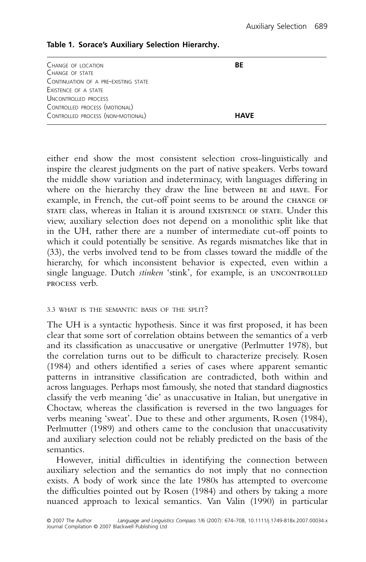| CHANGE OF LOCATION<br>CHANGE OF STATE | ВF          |  |
|---------------------------------------|-------------|--|
| CONTINUATION OF A PRE-EXISTING STATE  |             |  |
| EXISTENCE OF A STATE                  |             |  |
| UNCONTROLLED PROCESS                  |             |  |
| CONTROLLED PROCESS (MOTIONAL)         |             |  |
| CONTROLLED PROCESS (NON-MOTIONAL)     | <b>HAVE</b> |  |
|                                       |             |  |

#### **Table 1. Sorace's Auxiliary Selection Hierarchy.**

either end show the most consistent selection cross-linguistically and inspire the clearest judgments on the part of native speakers. Verbs toward the middle show variation and indeterminacy, with languages differing in where on the hierarchy they draw the line between be and have. For example, in French, the cut-off point seems to be around the CHANGE OF state class, whereas in Italian it is around existence of state. Under this view, auxiliary selection does not depend on a monolithic split like that in the UH, rather there are a number of intermediate cut-off points to which it could potentially be sensitive. As regards mismatches like that in (33), the verbs involved tend to be from classes toward the middle of the hierarchy, for which inconsistent behavior is expected, even within a single language. Dutch *stinken* 'stink', for example, is an UNCONTROLLED process verb.

#### 3.3 WHAT IS THE SEMANTIC BASIS OF THE SPLIT?

The UH is a syntactic hypothesis. Since it was first proposed, it has been clear that some sort of correlation obtains between the semantics of a verb and its classification as unaccusative or unergative (Perlmutter 1978), but the correlation turns out to be difficult to characterize precisely. Rosen (1984) and others identified a series of cases where apparent semantic patterns in intransitive classification are contradicted, both within and across languages. Perhaps most famously, she noted that standard diagnostics classify the verb meaning 'die' as unaccusative in Italian, but unergative in Choctaw, whereas the classification is reversed in the two languages for verbs meaning 'sweat'. Due to these and other arguments, Rosen (1984), Perlmutter (1989) and others came to the conclusion that unaccusativity and auxiliary selection could not be reliably predicted on the basis of the semantics.

However, initial difficulties in identifying the connection between auxiliary selection and the semantics do not imply that no connection exists. A body of work since the late 1980s has attempted to overcome the difficulties pointed out by Rosen (1984) and others by taking a more nuanced approach to lexical semantics. Van Valin (1990) in particular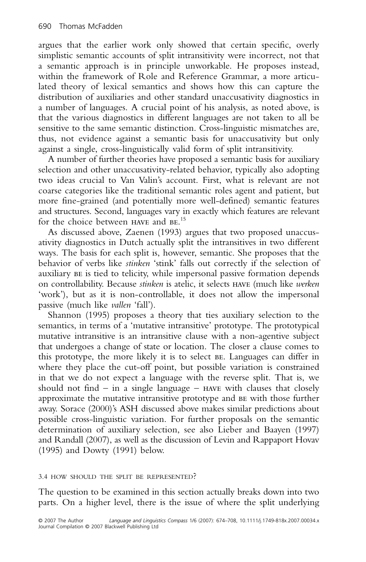argues that the earlier work only showed that certain specific, overly simplistic semantic accounts of split intransitivity were incorrect, not that a semantic approach is in principle unworkable. He proposes instead, within the framework of Role and Reference Grammar, a more articulated theory of lexical semantics and shows how this can capture the distribution of auxiliaries and other standard unaccusativity diagnostics in a number of languages. A crucial point of his analysis, as noted above, is that the various diagnostics in different languages are not taken to all be sensitive to the same semantic distinction. Cross-linguistic mismatches are, thus, not evidence against a semantic basis for unaccusativity but only against a single, cross-linguistically valid form of split intransitivity.

A number of further theories have proposed a semantic basis for auxiliary selection and other unaccusativity-related behavior, typically also adopting two ideas crucial to Van Valin's account. First, what is relevant are not coarse categories like the traditional semantic roles agent and patient, but more fine-grained (and potentially more well-defined) semantic features and structures. Second, languages vary in exactly which features are relevant for the choice between HAVE and BE.<sup>15</sup>

As discussed above, Zaenen (1993) argues that two proposed unaccusativity diagnostics in Dutch actually split the intransitives in two different ways. The basis for each split is, however, semantic. She proposes that the behavior of verbs like *stinken* 'stink' falls out correctly if the selection of auxiliary be is tied to telicity, while impersonal passive formation depends on controllability. Because *stinken* is atelic, it selects have (much like *werken* 'work'), but as it is non-controllable, it does not allow the impersonal passive (much like *vallen* 'fall').

Shannon (1995) proposes a theory that ties auxiliary selection to the semantics, in terms of a 'mutative intransitive' prototype. The prototypical mutative intransitive is an intransitive clause with a non-agentive subject that undergoes a change of state or location. The closer a clause comes to this prototype, the more likely it is to select be. Languages can differ in where they place the cut-off point, but possible variation is constrained in that we do not expect a language with the reverse split. That is, we should not find – in a single language –  $H$ AVE with clauses that closely approximate the mutative intransitive prototype and be with those further away. Sorace (2000)'s ASH discussed above makes similar predictions about possible cross-linguistic variation. For further proposals on the semantic determination of auxiliary selection, see also Lieber and Baayen (1997) and Randall (2007), as well as the discussion of Levin and Rappaport Hovav (1995) and Dowty (1991) below.

#### 3.4 HOW SHOULD THE SPLIT BE REPRESENTED?

The question to be examined in this section actually breaks down into two parts. On a higher level, there is the issue of where the split underlying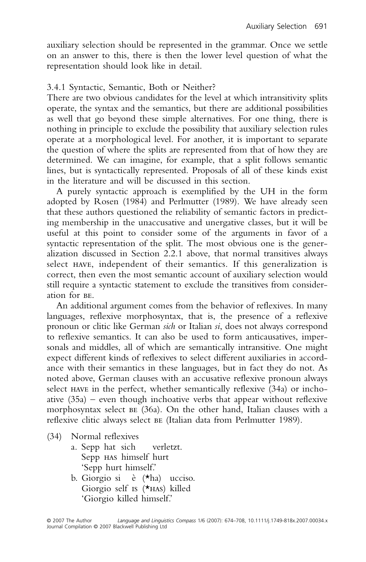auxiliary selection should be represented in the grammar. Once we settle on an answer to this, there is then the lower level question of what the representation should look like in detail.

## 3.4.1 Syntactic, Semantic, Both or Neither?

There are two obvious candidates for the level at which intransitivity splits operate, the syntax and the semantics, but there are additional possibilities as well that go beyond these simple alternatives. For one thing, there is nothing in principle to exclude the possibility that auxiliary selection rules operate at a morphological level. For another, it is important to separate the question of where the splits are represented from that of how they are determined. We can imagine, for example, that a split follows semantic lines, but is syntactically represented. Proposals of all of these kinds exist in the literature and will be discussed in this section.

A purely syntactic approach is exemplified by the UH in the form adopted by Rosen (1984) and Perlmutter (1989). We have already seen that these authors questioned the reliability of semantic factors in predicting membership in the unaccusative and unergative classes, but it will be useful at this point to consider some of the arguments in favor of a syntactic representation of the split. The most obvious one is the generalization discussed in Section 2.2.1 above, that normal transitives always select have, independent of their semantics. If this generalization is correct, then even the most semantic account of auxiliary selection would still require a syntactic statement to exclude the transitives from consideration for be.

An additional argument comes from the behavior of reflexives. In many languages, reflexive morphosyntax, that is, the presence of a reflexive pronoun or clitic like German *sich* or Italian *si*, does not always correspond to reflexive semantics. It can also be used to form anticausatives, impersonals and middles, all of which are semantically intransitive. One might expect different kinds of reflexives to select different auxiliaries in accordance with their semantics in these languages, but in fact they do not. As noted above, German clauses with an accusative reflexive pronoun always select have in the perfect, whether semantically reflexive (34a) or inchoative (35a) – even though inchoative verbs that appear without reflexive morphosyntax select be (36a). On the other hand, Italian clauses with a reflexive clitic always select be (Italian data from Perlmutter 1989).

- (34) Normal reflexives
	- a. Sepp hat sich verletzt. Sepp has himself hurt 'Sepp hurt himself.'
	- b. Giorgio si è (\*ha) ucciso. Giorgio self is (\*has) killed 'Giorgio killed himself.'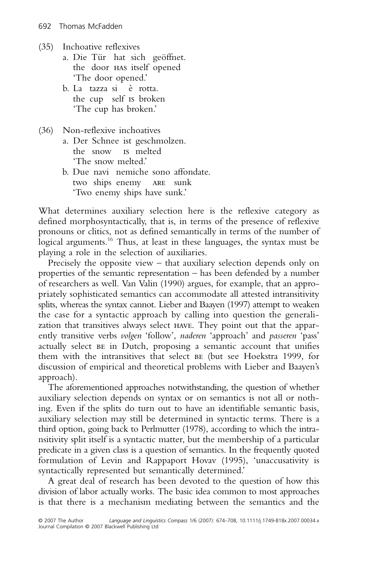- (35) Inchoative reflexives
	- a. Die Tür hat sich geöffnet. the door has itself opened 'The door opened.'
	- b. La tazza si è rotta. the cup self is broken 'The cup has broken.'
- (36) Non-reflexive inchoatives
	- a. Der Schnee ist geschmolzen. the snow is melted 'The snow melted.'
	- b. Due navi nemiche sono affondate. two ships enemy are sunk 'Two enemy ships have sunk.'

What determines auxiliary selection here is the reflexive category as defined morphosyntactically, that is, in terms of the presence of reflexive pronouns or clitics, not as defined semantically in terms of the number of logical arguments.<sup>16</sup> Thus, at least in these languages, the syntax must be playing a role in the selection of auxiliaries.

Precisely the opposite view – that auxiliary selection depends only on properties of the semantic representation – has been defended by a number of researchers as well. Van Valin (1990) argues, for example, that an appropriately sophisticated semantics can accommodate all attested intransitivity splits, whereas the syntax cannot. Lieber and Baayen (1997) attempt to weaken the case for a syntactic approach by calling into question the generalization that transitives always select have. They point out that the apparently transitive verbs *volgen* 'follow', *naderen* 'approach' and *passeren* 'pass' actually select be in Dutch, proposing a semantic account that unifies them with the intransitives that select be (but see Hoekstra 1999, for discussion of empirical and theoretical problems with Lieber and Baayen's approach).

The aforementioned approaches notwithstanding, the question of whether auxiliary selection depends on syntax or on semantics is not all or nothing. Even if the splits do turn out to have an identifiable semantic basis, auxiliary selection may still be determined in syntactic terms. There is a third option, going back to Perlmutter (1978), according to which the intransitivity split itself is a syntactic matter, but the membership of a particular predicate in a given class is a question of semantics. In the frequently quoted formulation of Levin and Rappaport Hovav (1995), 'unaccusativity is syntactically represented but semantically determined.'

A great deal of research has been devoted to the question of how this division of labor actually works. The basic idea common to most approaches is that there is a mechanism mediating between the semantics and the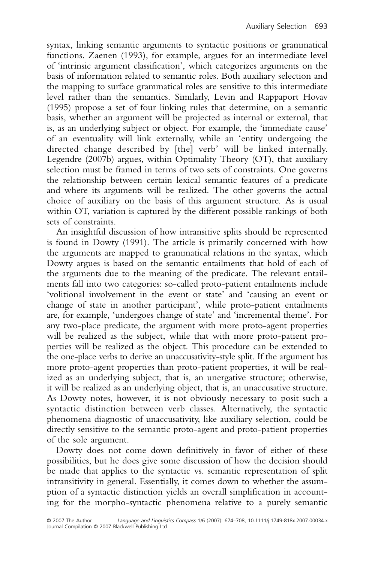syntax, linking semantic arguments to syntactic positions or grammatical functions. Zaenen (1993), for example, argues for an intermediate level of 'intrinsic argument classification', which categorizes arguments on the basis of information related to semantic roles. Both auxiliary selection and the mapping to surface grammatical roles are sensitive to this intermediate level rather than the semantics. Similarly, Levin and Rappaport Hovav (1995) propose a set of four linking rules that determine, on a semantic basis, whether an argument will be projected as internal or external, that is, as an underlying subject or object. For example, the 'immediate cause' of an eventuality will link externally, while an 'entity undergoing the directed change described by [the] verb' will be linked internally. Legendre (2007b) argues, within Optimality Theory (OT), that auxiliary selection must be framed in terms of two sets of constraints. One governs the relationship between certain lexical semantic features of a predicate and where its arguments will be realized. The other governs the actual choice of auxiliary on the basis of this argument structure. As is usual within OT, variation is captured by the different possible rankings of both sets of constraints.

An insightful discussion of how intransitive splits should be represented is found in Dowty (1991). The article is primarily concerned with how the arguments are mapped to grammatical relations in the syntax, which Dowty argues is based on the semantic entailments that hold of each of the arguments due to the meaning of the predicate. The relevant entailments fall into two categories: so-called proto-patient entailments include 'volitional involvement in the event or state' and 'causing an event or change of state in another participant', while proto-patient entailments are, for example, 'undergoes change of state' and 'incremental theme'. For any two-place predicate, the argument with more proto-agent properties will be realized as the subject, while that with more proto-patient properties will be realized as the object. This procedure can be extended to the one-place verbs to derive an unaccusativity-style split. If the argument has more proto-agent properties than proto-patient properties, it will be realized as an underlying subject, that is, an unergative structure; otherwise, it will be realized as an underlying object, that is, an unaccusative structure. As Dowty notes, however, it is not obviously necessary to posit such a syntactic distinction between verb classes. Alternatively, the syntactic phenomena diagnostic of unaccusativity, like auxiliary selection, could be directly sensitive to the semantic proto-agent and proto-patient properties of the sole argument.

Dowty does not come down definitively in favor of either of these possibilities, but he does give some discussion of how the decision should be made that applies to the syntactic vs. semantic representation of split intransitivity in general. Essentially, it comes down to whether the assumption of a syntactic distinction yields an overall simplification in accounting for the morpho-syntactic phenomena relative to a purely semantic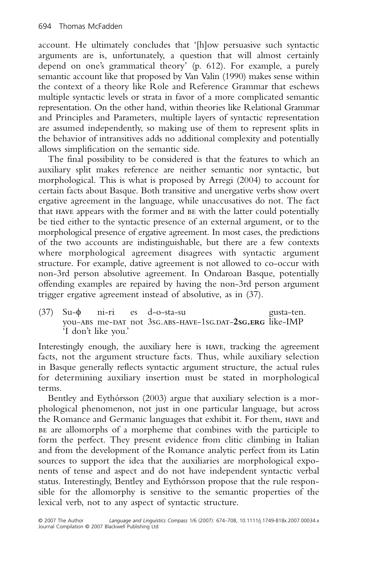account. He ultimately concludes that '[h]ow persuasive such syntactic arguments are is, unfortunately, a question that will almost certainly depend on one's grammatical theory' (p. 612). For example, a purely semantic account like that proposed by Van Valin (1990) makes sense within the context of a theory like Role and Reference Grammar that eschews multiple syntactic levels or strata in favor of a more complicated semantic representation. On the other hand, within theories like Relational Grammar and Principles and Parameters, multiple layers of syntactic representation are assumed independently, so making use of them to represent splits in the behavior of intransitives adds no additional complexity and potentially allows simplification on the semantic side.

The final possibility to be considered is that the features to which an auxiliary split makes reference are neither semantic nor syntactic, but morphological. This is what is proposed by Arregi (2004) to account for certain facts about Basque. Both transitive and unergative verbs show overt ergative agreement in the language, while unaccusatives do not. The fact that have appears with the former and be with the latter could potentially be tied either to the syntactic presence of an external argument, or to the morphological presence of ergative agreement. In most cases, the predictions of the two accounts are indistinguishable, but there are a few contexts where morphological agreement disagrees with syntactic argument structure. For example, dative agreement is not allowed to co-occur with non-3rd person absolutive agreement. In Ondaroan Basque, potentially offending examples are repaired by having the non-3rd person argument trigger ergative agreement instead of absolutive, as in (37).

(37) Su-φ ni-ri es d-o-sta-su gusta-ten. you-abs me-dat not 3sg.abs-have-1sg.dat-**2SG.ERG** like-IMP 'I don't like you.'

Interestingly enough, the auxiliary here is have, tracking the agreement facts, not the argument structure facts. Thus, while auxiliary selection in Basque generally reflects syntactic argument structure, the actual rules for determining auxiliary insertion must be stated in morphological terms.

Bentley and Eythórsson (2003) argue that auxiliary selection is a morphological phenomenon, not just in one particular language, but across the Romance and Germanic languages that exhibit it. For them, have and be are allomorphs of a morpheme that combines with the participle to form the perfect. They present evidence from clitic climbing in Italian and from the development of the Romance analytic perfect from its Latin sources to support the idea that the auxiliaries are morphological exponents of tense and aspect and do not have independent syntactic verbal status. Interestingly, Bentley and Eythórsson propose that the rule responsible for the allomorphy is sensitive to the semantic properties of the lexical verb, not to any aspect of syntactic structure.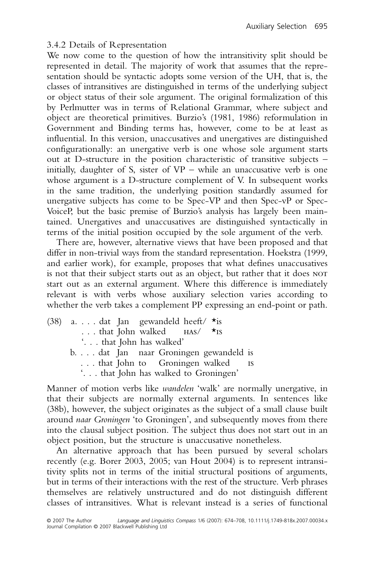## 3.4.2 Details of Representation

We now come to the question of how the intransitivity split should be represented in detail. The majority of work that assumes that the representation should be syntactic adopts some version of the UH, that is, the classes of intransitives are distinguished in terms of the underlying subject or object status of their sole argument. The original formalization of this by Perlmutter was in terms of Relational Grammar, where subject and object are theoretical primitives. Burzio's (1981, 1986) reformulation in Government and Binding terms has, however, come to be at least as influential. In this version, unaccusatives and unergatives are distinguished configurationally: an unergative verb is one whose sole argument starts out at D-structure in the position characteristic of transitive subjects – initially, daughter of S, sister of VP – while an unaccusative verb is one whose argument is a D-structure complement of V. In subsequent works in the same tradition, the underlying position standardly assumed for unergative subjects has come to be Spec-VP and then Spec-vP or Spec-VoiceP, but the basic premise of Burzio's analysis has largely been maintained. Unergatives and unaccusatives are distinguished syntactically in terms of the initial position occupied by the sole argument of the verb.

There are, however, alternative views that have been proposed and that differ in non-trivial ways from the standard representation. Hoekstra (1999, and earlier work), for example, proposes that what defines unaccusatives is not that their subject starts out as an object, but rather that it does NOT start out as an external argument. Where this difference is immediately relevant is with verbs whose auxiliary selection varies according to whether the verb takes a complement PP expressing an end-point or path.

| (38) a dat Jan gewandeld heeft/ $\star$ is            |  |
|-------------------------------------------------------|--|
| $\ldots$ that John walked $_{\rm HAS}/\star_{\rm IS}$ |  |
| ' that John has walked'                               |  |
| b dat Jan naar Groningen gewandeld is                 |  |
| that John to Groningen walked Is                      |  |
| that John has walked to Groningen'                    |  |
|                                                       |  |

Manner of motion verbs like *wandelen* 'walk' are normally unergative, in that their subjects are normally external arguments. In sentences like (38b), however, the subject originates as the subject of a small clause built around *naar Groningen* 'to Groningen', and subsequently moves from there into the clausal subject position. The subject thus does not start out in an object position, but the structure is unaccusative nonetheless.

An alternative approach that has been pursued by several scholars recently (e.g. Borer 2003, 2005; van Hout 2004) is to represent intransitivity splits not in terms of the initial structural positions of arguments, but in terms of their interactions with the rest of the structure. Verb phrases themselves are relatively unstructured and do not distinguish different classes of intransitives. What is relevant instead is a series of functional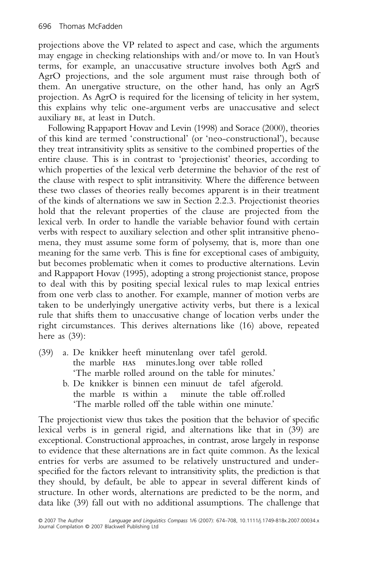projections above the VP related to aspect and case, which the arguments may engage in checking relationships with and/or move to. In van Hout's terms, for example, an unaccusative structure involves both AgrS and AgrO projections, and the sole argument must raise through both of them. An unergative structure, on the other hand, has only an AgrS projection. As AgrO is required for the licensing of telicity in her system, this explains why telic one-argument verbs are unaccusative and select auxiliary be, at least in Dutch.

Following Rappaport Hovav and Levin (1998) and Sorace (2000), theories of this kind are termed 'constructional' (or 'neo-constructional'), because they treat intransitivity splits as sensitive to the combined properties of the entire clause. This is in contrast to 'projectionist' theories, according to which properties of the lexical verb determine the behavior of the rest of the clause with respect to split intransitivity. Where the difference between these two classes of theories really becomes apparent is in their treatment of the kinds of alternations we saw in Section 2.2.3. Projectionist theories hold that the relevant properties of the clause are projected from the lexical verb. In order to handle the variable behavior found with certain verbs with respect to auxiliary selection and other split intransitive phenomena, they must assume some form of polysemy, that is, more than one meaning for the same verb. This is fine for exceptional cases of ambiguity, but becomes problematic when it comes to productive alternations. Levin and Rappaport Hovav (1995), adopting a strong projectionist stance, propose to deal with this by positing special lexical rules to map lexical entries from one verb class to another. For example, manner of motion verbs are taken to be underlyingly unergative activity verbs, but there is a lexical rule that shifts them to unaccusative change of location verbs under the right circumstances. This derives alternations like (16) above, repeated here as (39):

- (39) a. De knikker heeft minutenlang over tafel gerold. the marble has minutes.long over table rolled 'The marble rolled around on the table for minutes.'
	- b. De knikker is binnen een minuut de tafel afgerold. the marble is within a minute the table off.rolled 'The marble rolled off the table within one minute.'

The projectionist view thus takes the position that the behavior of specific lexical verbs is in general rigid, and alternations like that in (39) are exceptional. Constructional approaches, in contrast, arose largely in response to evidence that these alternations are in fact quite common. As the lexical entries for verbs are assumed to be relatively unstructured and underspecified for the factors relevant to intransitivity splits, the prediction is that they should, by default, be able to appear in several different kinds of structure. In other words, alternations are predicted to be the norm, and data like (39) fall out with no additional assumptions. The challenge that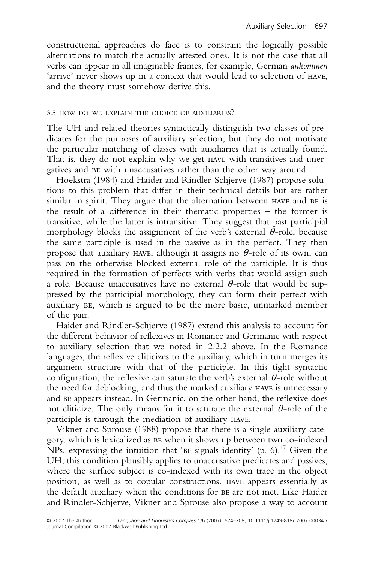constructional approaches do face is to constrain the logically possible alternations to match the actually attested ones. It is not the case that all verbs can appear in all imaginable frames, for example, German *ankommen* 'arrive' never shows up in a context that would lead to selection of have, and the theory must somehow derive this.

#### 3.5 HOW DO WE EXPLAIN THE CHOICE OF AUXILIARIES?

The UH and related theories syntactically distinguish two classes of predicates for the purposes of auxiliary selection, but they do not motivate the particular matching of classes with auxiliaries that is actually found. That is, they do not explain why we get have with transitives and unergatives and be with unaccusatives rather than the other way around.

Hoekstra (1984) and Haider and Rindler-Schjerve (1987) propose solutions to this problem that differ in their technical details but are rather similar in spirit. They argue that the alternation between have and be is the result of a difference in their thematic properties – the former is transitive, while the latter is intransitive. They suggest that past participial morphology blocks the assignment of the verb's external  $\theta$ -role, because the same participle is used in the passive as in the perfect. They then propose that auxiliary HAVE, although it assigns no  $\theta$ -role of its own, can pass on the otherwise blocked external role of the participle. It is thus required in the formation of perfects with verbs that would assign such a role. Because unaccusatives have no external  $\theta$ -role that would be suppressed by the participial morphology, they can form their perfect with auxiliary be, which is argued to be the more basic, unmarked member of the pair.

Haider and Rindler-Schjerve (1987) extend this analysis to account for the different behavior of reflexives in Romance and Germanic with respect to auxiliary selection that we noted in 2.2.2 above. In the Romance languages, the reflexive cliticizes to the auxiliary, which in turn merges its argument structure with that of the participle. In this tight syntactic configuration, the reflexive can saturate the verb's external  $\theta$ -role without the need for deblocking, and thus the marked auxiliary have is unnecessary and be appears instead. In Germanic, on the other hand, the reflexive does not cliticize. The only means for it to saturate the external  $\theta$ -role of the participle is through the mediation of auxiliary have.

Vikner and Sprouse (1988) propose that there is a single auxiliary category, which is lexicalized as be when it shows up between two co-indexed  $NP<sub>s</sub>$ , expressing the intuition that 'BE signals identity' (p. 6).<sup>17</sup> Given the UH, this condition plausibly applies to unaccusative predicates and passives, where the surface subject is co-indexed with its own trace in the object position, as well as to copular constructions. have appears essentially as the default auxiliary when the conditions for be are not met. Like Haider and Rindler-Schjerve, Vikner and Sprouse also propose a way to account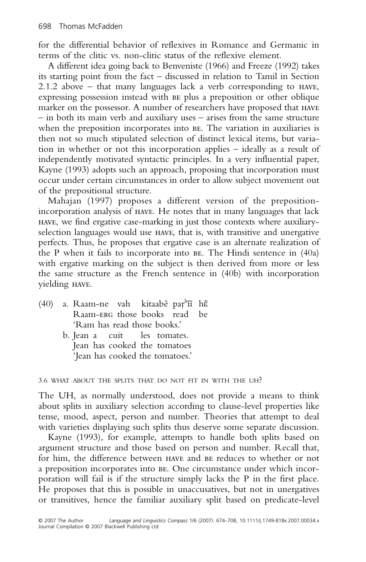for the differential behavior of reflexives in Romance and Germanic in terms of the clitic vs. non-clitic status of the reflexive element.

A different idea going back to Benveniste (1966) and Freeze (1992) takes its starting point from the fact – discussed in relation to Tamil in Section 2.1.2 above – that many languages lack a verb corresponding to have, expressing possession instead with be plus a preposition or other oblique marker on the possessor. A number of researchers have proposed that have – in both its main verb and auxiliary uses – arises from the same structure when the preposition incorporates into be. The variation in auxiliaries is then not so much stipulated selection of distinct lexical items, but variation in whether or not this incorporation applies – ideally as a result of independently motivated syntactic principles. In a very influential paper, Kayne (1993) adopts such an approach, proposing that incorporation must occur under certain circumstances in order to allow subject movement out of the prepositional structure.

Mahajan (1997) proposes a different version of the prepositionincorporation analysis of have. He notes that in many languages that lack have, we find ergative case-marking in just those contexts where auxiliaryselection languages would use have, that is, with transitive and unergative perfects. Thus, he proposes that ergative case is an alternate realization of the P when it fails to incorporate into be. The Hindi sentence in (40a) with ergative marking on the subject is then derived from more or less the same structure as the French sentence in (40b) with incorporation yielding HAVE.

- $(40)$  a. Raam-ne vah  $\overline{\mathbf{m}}$  h $\tilde{\mathbf{e}}$ Raam-erg those books read be 'Ram has read those books.'
	- b. Jean a cuit les tomates. Jean has cooked the tomatoes 'Jean has cooked the tomatoes.'

3.6 WHAT ABOUT THE SPLITS THAT DO NOT FIT IN WITH THE UH?

The UH, as normally understood, does not provide a means to think about splits in auxiliary selection according to clause-level properties like tense, mood, aspect, person and number. Theories that attempt to deal with varieties displaying such splits thus deserve some separate discussion.

Kayne (1993), for example, attempts to handle both splits based on argument structure and those based on person and number. Recall that, for him, the difference between have and be reduces to whether or not a preposition incorporates into be. One circumstance under which incorporation will fail is if the structure simply lacks the P in the first place. He proposes that this is possible in unaccusatives, but not in unergatives or transitives, hence the familiar auxiliary split based on predicate-level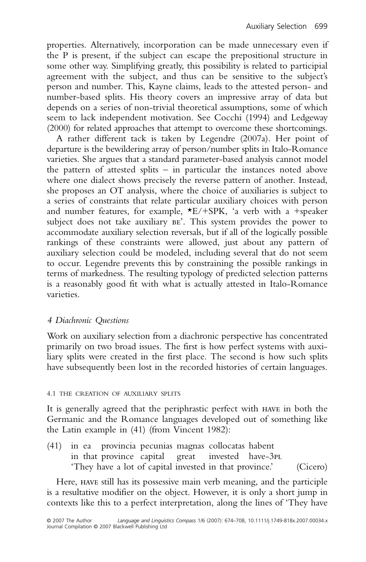properties. Alternatively, incorporation can be made unnecessary even if the P is present, if the subject can escape the prepositional structure in some other way. Simplifying greatly, this possibility is related to participial agreement with the subject, and thus can be sensitive to the subject's person and number. This, Kayne claims, leads to the attested person- and number-based splits. His theory covers an impressive array of data but depends on a series of non-trivial theoretical assumptions, some of which seem to lack independent motivation. See Cocchi (1994) and Ledgeway (2000) for related approaches that attempt to overcome these shortcomings.

A rather different tack is taken by Legendre (2007a). Her point of departure is the bewildering array of person/number splits in Italo-Romance varieties. She argues that a standard parameter-based analysis cannot model the pattern of attested splits – in particular the instances noted above where one dialect shows precisely the reverse pattern of another. Instead, she proposes an OT analysis, where the choice of auxiliaries is subject to a series of constraints that relate particular auxiliary choices with person and number features, for example,  $E/+SPK$ , 'a verb with a +speaker subject does not take auxiliary be'. This system provides the power to accommodate auxiliary selection reversals, but if all of the logically possible rankings of these constraints were allowed, just about any pattern of auxiliary selection could be modeled, including several that do not seem to occur. Legendre prevents this by constraining the possible rankings in terms of markedness. The resulting typology of predicted selection patterns is a reasonably good fit with what is actually attested in Italo-Romance varieties.

# *4 Diachronic Questions*

Work on auxiliary selection from a diachronic perspective has concentrated primarily on two broad issues. The first is how perfect systems with auxiliary splits were created in the first place. The second is how such splits have subsequently been lost in the recorded histories of certain languages.

# 4.1 THE CREATION OF AUXILIARY SPLITS

It is generally agreed that the periphrastic perfect with have in both the Germanic and the Romance languages developed out of something like the Latin example in (41) (from Vincent 1982):

(41) in ea provincia pecunias magnas collocatas habent in that province capital great invested have-3PL 'They have a lot of capital invested in that province.' (Cicero)

Here, have still has its possessive main verb meaning, and the participle is a resultative modifier on the object. However, it is only a short jump in contexts like this to a perfect interpretation, along the lines of 'They have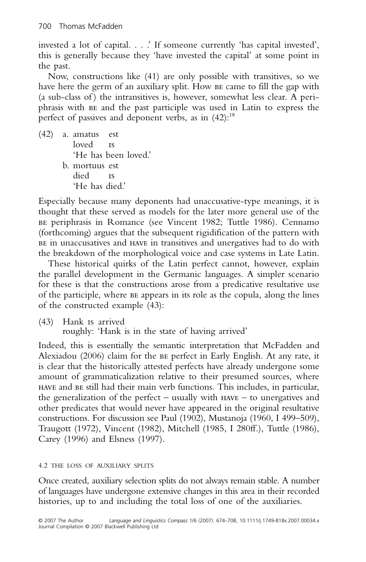invested a lot of capital. . . .' If someone currently 'has capital invested', this is generally because they 'have invested the capital' at some point in the past.

Now, constructions like (41) are only possible with transitives, so we have here the germ of an auxiliary split. How be came to fill the gap with (a sub-class of ) the intransitives is, however, somewhat less clear. A periphrasis with be and the past participle was used in Latin to express the perfect of passives and deponent verbs, as in  $(42)$ :<sup>18</sup>

(42) a. amatus est loved is 'He has been loved.' b. mortuus est died is 'He has died.'

Especially because many deponents had unaccusative-type meanings, it is thought that these served as models for the later more general use of the be periphrasis in Romance (see Vincent 1982; Tuttle 1986). Cennamo (forthcoming) argues that the subsequent rigidification of the pattern with be in unaccusatives and have in transitives and unergatives had to do with the breakdown of the morphological voice and case systems in Late Latin.

These historical quirks of the Latin perfect cannot, however, explain the parallel development in the Germanic languages. A simpler scenario for these is that the constructions arose from a predicative resultative use of the participle, where be appears in its role as the copula, along the lines of the constructed example (43):

(43) Hank is arrived

roughly: 'Hank is in the state of having arrived'

Indeed, this is essentially the semantic interpretation that McFadden and Alexiadou (2006) claim for the be perfect in Early English. At any rate, it is clear that the historically attested perfects have already undergone some amount of grammaticalization relative to their presumed sources, where have and be still had their main verb functions. This includes, in particular, the generalization of the perfect  $-$  usually with  $H = -10$  unergatives and other predicates that would never have appeared in the original resultative constructions. For discussion see Paul (1902), Mustanoja (1960, I 499–509), Traugott (1972), Vincent (1982), Mitchell (1985, I 280ff.), Tuttle (1986), Carey (1996) and Elsness (1997).

## 4.2 THE LOSS OF AUXILIARY SPLITS

Once created, auxiliary selection splits do not always remain stable. A number of languages have undergone extensive changes in this area in their recorded histories, up to and including the total loss of one of the auxiliaries.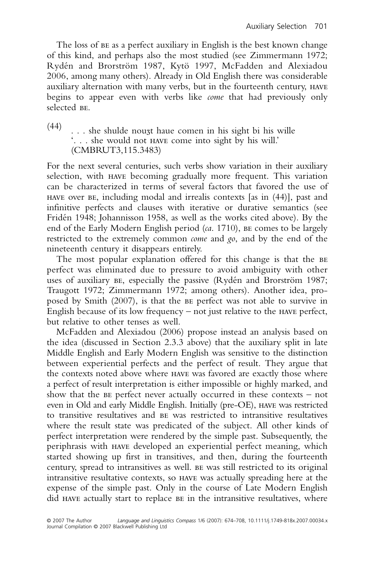The loss of be as a perfect auxiliary in English is the best known change of this kind, and perhaps also the most studied (see Zimmermann 1972; Rydén and Brorström 1987, Kytö 1997, McFadden and Alexiadou 2006, among many others). Already in Old English there was considerable auxiliary alternation with many verbs, but in the fourteenth century, have begins to appear even with verbs like *come* that had previously only selected be.

 $(44)$  ... she shulde nouzt haue comen in his sight bi his wille '. . . she would not have come into sight by his will.' (CMBRUT3,115.3483)

For the next several centuries, such verbs show variation in their auxiliary selection, with have becoming gradually more frequent. This variation can be characterized in terms of several factors that favored the use of have over be, including modal and irrealis contexts [as in (44)], past and infinitive perfects and clauses with iterative or durative semantics (see Fridén 1948; Johannisson 1958, as well as the works cited above). By the end of the Early Modern English period (*ca.* 1710), BE comes to be largely restricted to the extremely common *come* and *go*, and by the end of the nineteenth century it disappears entirely.

The most popular explanation offered for this change is that the be perfect was eliminated due to pressure to avoid ambiguity with other uses of auxiliary be, especially the passive (Rydén and Brorström 1987; Traugott 1972; Zimmermann 1972; among others). Another idea, proposed by Smith (2007), is that the be perfect was not able to survive in English because of its low frequency – not just relative to the have perfect, but relative to other tenses as well.

McFadden and Alexiadou (2006) propose instead an analysis based on the idea (discussed in Section 2.3.3 above) that the auxiliary split in late Middle English and Early Modern English was sensitive to the distinction between experiential perfects and the perfect of result. They argue that the contexts noted above where have was favored are exactly those where a perfect of result interpretation is either impossible or highly marked, and show that the be perfect never actually occurred in these contexts – not even in Old and early Middle English. Initially (pre-OE), have was restricted to transitive resultatives and be was restricted to intransitive resultatives where the result state was predicated of the subject. All other kinds of perfect interpretation were rendered by the simple past. Subsequently, the periphrasis with have developed an experiential perfect meaning, which started showing up first in transitives, and then, during the fourteenth century, spread to intransitives as well. be was still restricted to its original intransitive resultative contexts, so have was actually spreading here at the expense of the simple past. Only in the course of Late Modern English did have actually start to replace be in the intransitive resultatives, where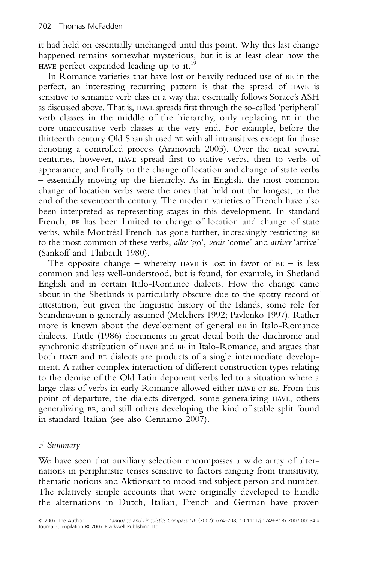it had held on essentially unchanged until this point. Why this last change happened remains somewhat mysterious, but it is at least clear how the HAVE perfect expanded leading up to it.<sup>19</sup>

In Romance varieties that have lost or heavily reduced use of be in the perfect, an interesting recurring pattern is that the spread of have is sensitive to semantic verb class in a way that essentially follows Sorace's ASH as discussed above. That is, have spreads first through the so-called 'peripheral' verb classes in the middle of the hierarchy, only replacing be in the core unaccusative verb classes at the very end. For example, before the thirteenth century Old Spanish used be with all intransitives except for those denoting a controlled process (Aranovich 2003). Over the next several centuries, however, have spread first to stative verbs, then to verbs of appearance, and finally to the change of location and change of state verbs – essentially moving up the hierarchy. As in English, the most common change of location verbs were the ones that held out the longest, to the end of the seventeenth century. The modern varieties of French have also been interpreted as representing stages in this development. In standard French, be has been limited to change of location and change of state verbs, while Montréal French has gone further, increasingly restricting be to the most common of these verbs, *aller* 'go', *venir* 'come' and *arriver* 'arrive' (Sankoff and Thibault 1980).

The opposite change – whereby HAVE is lost in favor of  $BE - is$  less common and less well-understood, but is found, for example, in Shetland English and in certain Italo-Romance dialects. How the change came about in the Shetlands is particularly obscure due to the spotty record of attestation, but given the linguistic history of the Islands, some role for Scandinavian is generally assumed (Melchers 1992; Pavlenko 1997). Rather more is known about the development of general be in Italo-Romance dialects. Tuttle (1986) documents in great detail both the diachronic and synchronic distribution of have and be in Italo-Romance, and argues that both have and be dialects are products of a single intermediate development. A rather complex interaction of different construction types relating to the demise of the Old Latin deponent verbs led to a situation where a large class of verbs in early Romance allowed either have or be. From this point of departure, the dialects diverged, some generalizing have, others generalizing be, and still others developing the kind of stable split found in standard Italian (see also Cennamo 2007).

# *5 Summary*

We have seen that auxiliary selection encompasses a wide array of alternations in periphrastic tenses sensitive to factors ranging from transitivity, thematic notions and Aktionsart to mood and subject person and number. The relatively simple accounts that were originally developed to handle the alternations in Dutch, Italian, French and German have proven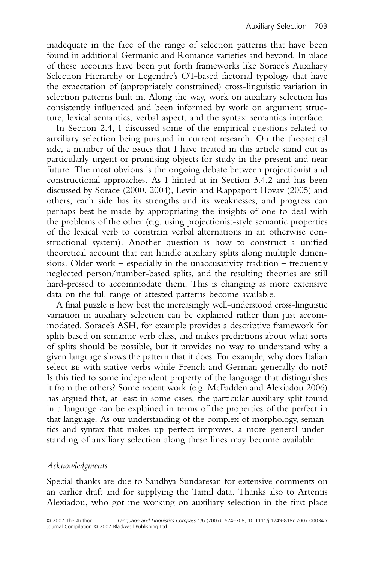inadequate in the face of the range of selection patterns that have been found in additional Germanic and Romance varieties and beyond. In place of these accounts have been put forth frameworks like Sorace's Auxiliary Selection Hierarchy or Legendre's OT-based factorial typology that have the expectation of (appropriately constrained) cross-linguistic variation in selection patterns built in. Along the way, work on auxiliary selection has consistently influenced and been informed by work on argument structure, lexical semantics, verbal aspect, and the syntax–semantics interface.

In Section 2.4, I discussed some of the empirical questions related to auxiliary selection being pursued in current research. On the theoretical side, a number of the issues that I have treated in this article stand out as particularly urgent or promising objects for study in the present and near future. The most obvious is the ongoing debate between projectionist and constructional approaches. As I hinted at in Section 3.4.2 and has been discussed by Sorace (2000, 2004), Levin and Rappaport Hovav (2005) and others, each side has its strengths and its weaknesses, and progress can perhaps best be made by appropriating the insights of one to deal with the problems of the other (e.g. using projectionist-style semantic properties of the lexical verb to constrain verbal alternations in an otherwise constructional system). Another question is how to construct a unified theoretical account that can handle auxiliary splits along multiple dimensions. Older work – especially in the unaccusativity tradition – frequently neglected person/number-based splits, and the resulting theories are still hard-pressed to accommodate them. This is changing as more extensive data on the full range of attested patterns become available.

A final puzzle is how best the increasingly well-understood cross-linguistic variation in auxiliary selection can be explained rather than just accommodated. Sorace's ASH, for example provides a descriptive framework for splits based on semantic verb class, and makes predictions about what sorts of splits should be possible, but it provides no way to understand why a given language shows the pattern that it does. For example, why does Italian select be with stative verbs while French and German generally do not? Is this tied to some independent property of the language that distinguishes it from the others? Some recent work (e.g. McFadden and Alexiadou 2006) has argued that, at least in some cases, the particular auxiliary split found in a language can be explained in terms of the properties of the perfect in that language. As our understanding of the complex of morphology, semantics and syntax that makes up perfect improves, a more general understanding of auxiliary selection along these lines may become available.

#### *Acknowledgments*

Special thanks are due to Sandhya Sundaresan for extensive comments on an earlier draft and for supplying the Tamil data. Thanks also to Artemis Alexiadou, who got me working on auxiliary selection in the first place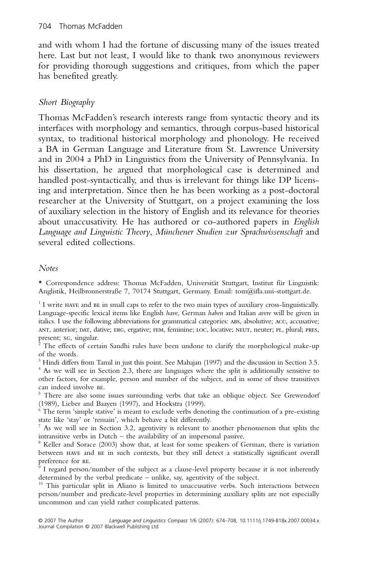and with whom I had the fortune of discussing many of the issues treated here. Last but not least, I would like to thank two anonymous reviewers for providing thorough suggestions and critiques, from which the paper has benefited greatly.

# *Short Biography*

Thomas McFadden's research interests range from syntactic theory and its interfaces with morphology and semantics, through corpus-based historical syntax, to traditional historical morphology and phonology. He received a BA in German Language and Literature from St. Lawrence University and in 2004 a PhD in Linguistics from the University of Pennsylvania. In his dissertation, he argued that morphological case is determined and handled post-syntactically, and thus is irrelevant for things like DP licensing and interpretation. Since then he has been working as a post-doctoral researcher at the University of Stuttgart, on a project examining the loss of auxiliary selection in the history of English and its relevance for theories about unaccusativity. He has authored or co-authored papers in *English Language and Linguistic Theory*, *Münchener Studien zur Sprachwissenschaft* and several edited collections.

# *Notes*

\* Correspondence address: Thomas McFadden, Universität Stuttgart, Institut für Linguistik: Anglistik, Heilbronnerstraße 7, 70174 Stuttgart, Germany. Email: tom@ifla.uni-stuttgart.de.

1 I write have and be in small caps to refer to the two main types of auxiliary cross-linguistically. Language-specific lexical items like English *have*, German *haben* and Italian *avere* will be given in italics. I use the following abbreviations for grammatical categories: abs, absolutive; acc, accusative; ANT, anterior; DAT, dative; ERG, ergative; FEM, feminine; LOC, locative; NEUT, neuter; PL, plural; PRES, present; sG, singular.

2 The effects of certain Sandhi rules have been undone to clarify the morphological make-up of the words.

<sup>3</sup> Hindi differs from Tamil in just this point. See Mahajan (1997) and the discussion in Section 3.5.

<sup>4</sup> As we will see in Section 2.3, there are languages where the split is additionally sensitive to other factors, for example, person and number of the subject, and in some of these transitives can indeed involve be.

<sup>5</sup> There are also some issues surrounding verbs that take an oblique object. See Grewendorf (1989), Lieber and Baayen (1997), and Hoekstra (1999).

6 The term 'simple stative' is meant to exclude verbs denoting the continuation of a pre-existing state like 'stay' or 'remain', which behave a bit differently.

<sup>7</sup> As we will see in Section 3.2, agentivity is relevant to another phenomenon that splits the intransitive verbs in Dutch – the availability of an impersonal passive.

<sup>8</sup> Keller and Sorace (2003) show that, at least for some speakers of German, there is variation between have and be in such contexts, but they still detect a statistically significant overall preference for be.

<sup>9</sup> I regard person/number of the subject as a clause-level property because it is not inherently determined by the verbal predicate – unlike, say, agentivity of the subject.

 $10$  This particular split in Aliano is limited to unaccusative verbs. Such interactions between person/number and predicate-level properties in determining auxiliary splits are not especially uncommon and can yield rather complicated patterns.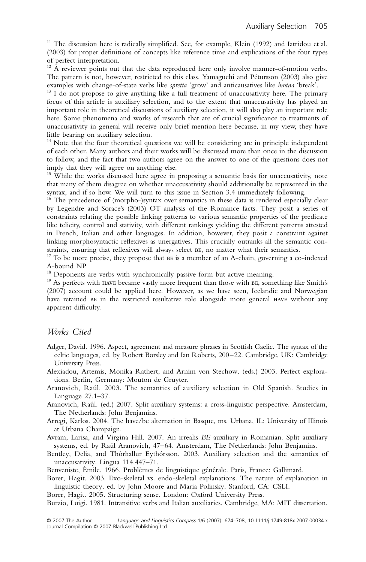$11$  The discussion here is radically simplified. See, for example, Klein (1992) and Iatridou et al. (2003) for proper definitions of concepts like reference time and explications of the four types of perfect interpretation.

 $12$  A reviewer points out that the data reproduced here only involve manner-of-motion verbs. The pattern is not, however, restricted to this class. Yamaguchi and Pétursson (2003) also give examples with change-of-state verbs like *spretta* 'grow' and anticausatives like *brotna* 'break'.

 $13$  I do not propose to give anything like a full treatment of unaccusativity here. The primary focus of this article is auxiliary selection, and to the extent that unaccusativity has played an important role in theoretical discussions of auxiliary selection, it will also play an important role here. Some phenomena and works of research that are of crucial significance to treatments of unaccusativity in general will receive only brief mention here because, in my view, they have little bearing on auxiliary selection.

<sup>14</sup> Note that the four theoretical questions we will be considering are in principle independent of each other. Many authors and their works will be discussed more than once in the discussion to follow, and the fact that two authors agree on the answer to one of the questions does not imply that they will agree on anything else.

<sup>15</sup> While the works discussed here agree in proposing a semantic basis for unaccusativity, note that many of them disagree on whether unaccusativity should additionally be represented in the syntax, and if so how. We will turn to this issue in Section 3.4 immediately following.

<sup>16</sup> The precedence of (morpho-)syntax over semantics in these data is rendered especially clear by Legendre and Sorace's (2003) OT analysis of the Romance facts. They posit a series of constraints relating the possible linking patterns to various semantic properties of the predicate like telicity, control and stativity, with different rankings yielding the different patterns attested in French, Italian and other languages. In addition, however, they posit a constraint against linking morphosyntactic reflexives as unergatives. This crucially outranks all the semantic constraints, ensuring that reflexives will always select be, no matter what their semantics.

<sup>17</sup> To be more precise, they propose that  $BE$  is a member of an A-chain, governing a co-indexed A-bound NP.

<sup>18</sup> Deponents are verbs with synchronically passive form but active meaning.

 $19$  As perfects with HAVE became vastly more frequent than those with BE, something like Smith's (2007) account could be applied here. However, as we have seen, Icelandic and Norwegian have retained be in the restricted resultative role alongside more general have without any apparent difficulty.

#### *Works Cited*

- Adger, David. 1996. Aspect, agreement and measure phrases in Scottish Gaelic. The syntax of the celtic languages, ed. by Robert Borsley and Ian Roberts, 200–22. Cambridge, UK: Cambridge University Press.
- Alexiadou, Artemis, Monika Rathert, and Arnim von Stechow. (eds.) 2003. Perfect explorations. Berlin, Germany: Mouton de Gruyter.
- Aranovich, Raúl. 2003. The semantics of auxiliary selection in Old Spanish. Studies in Language 27.1–37.
- Aranovich, Raúl. (ed.) 2007. Split auxiliary systems: a cross-linguistic perspective. Amsterdam, The Netherlands: John Benjamins.
- Arregi, Karlos. 2004. The have/be alternation in Basque, ms. Urbana, IL: University of Illinois at Urbana Champaign.
- Avram, Larisa, and Virgina Hill. 2007. An irrealis *BE* auxiliary in Romanian. Split auxiliary systems, ed. by Raúl Aranovich, 47–64. Amsterdam, The Netherlands: John Benjamins.
- Bentley, Delia, and Thórhallur Eythórsson. 2003. Auxiliary selection and the semantics of unaccusativity. Lingua 114.447–71.

Benveniste, Émile. 1966. Problèmes de linguistique générale. Paris, France: Gallimard.

Borer, Hagit. 2003. Exo-skeletal vs. endo-skeletal explanations. The nature of explanation in linguistic theory, ed. by John Moore and Maria Polinsky. Stanford, CA: CSLI.

Borer, Hagit. 2005. Structuring sense. London: Oxford University Press.

Burzio, Luigi. 1981. Intransitive verbs and Italian auxiliaries. Cambridge, MA: MIT dissertation.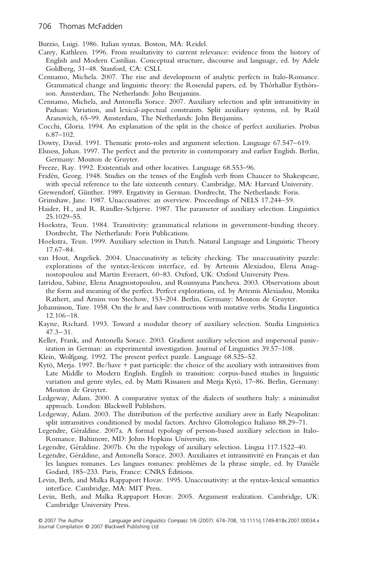Burzio, Luigi. 1986. Italian syntax. Boston, MA: Reidel.

- Carey, Kathleen. 1996. From resultativity to current relevance: evidence from the history of English and Modern Castilian. Conceptual structure, discourse and language, ed. by Adele Goldberg, 31–48. Stanford, CA: CSLI.
- Cennamo, Michela. 2007. The rise and development of analytic perfects in Italo-Romance. Grammatical change and linguistic theory: the Rosendal papers, ed. by Thórhallur Eythórsson. Amsterdam, The Netherlands: John Benjamins.
- Cennamo, Michela, and Antonella Sorace. 2007. Auxiliary selection and split intransitivity in Paduan: Variation, and lexical-aspectual constraints. Split auxiliary systems, ed. by Raúl Aranovich, 65–99. Amsterdam, The Netherlands: John Benjamins.
- Cocchi, Gloria. 1994. An explanation of the split in the choice of perfect auxiliaries. Probus 6.87–102.
- Dowty, David. 1991. Thematic proto-roles and argument selection. Language 67.547–619.
- Elsness, Johan. 1997. The perfect and the preterite in contemporary and earlier English. Berlin, Germany: Mouton de Gruyter.
- Freeze, Ray. 1992. Existentials and other locatives. Language 68.553–96.
- Fridén, Georg. 1948. Studies on the tenses of the English verb from Chaucer to Shakespeare, with special reference to the late sixteenth century. Cambridge, MA: Harvard University.
- Grewendorf, Günther. 1989. Ergativity in German. Dordrecht, The Netherlands: Foris.
- Grimshaw, Jane. 1987. Unaccusatives: an overview. Proceedings of NELS 17.244–59.
- Haider, H., and R. Rindler-Schjerve. 1987. The parameter of auxiliary selection. Linguistics 25.1029–55.
- Hoekstra, Teun. 1984. Transitivity: grammatical relations in government-binding theory. Dordrecht, The Netherlands: Foris Publications.
- Hoekstra, Teun. 1999. Auxiliary selection in Dutch. Natural Language and Linguistic Theory 17.67–84.
- van Hout, Angeliek. 2004. Unaccusativity as telicity checking. The unaccusativity puzzle: explorations of the syntax-lexicon interface, ed. by Artemis Alexiadou, Elena Anagnostopoulou and Martin Everaert, 60–83. Oxford, UK: Oxford University Press.
- Iatridou, Sabine, Elena Anagnostopoulou, and Roumyana Pancheva. 2003. Observations about the form and meaning of the perfect. Perfect explorations, ed. by Artemis Alexiadou, Monika Rathert, and Arnim von Stechow, 153–204. Berlin, Germany: Mouton de Gruyter.
- Johannisson, Ture. 1958. On the *be* and *have* constructions with mutative verbs. Studia Linguistica 12.106–18.
- Kayne, Richard. 1993. Toward a modular theory of auxiliary selection. Studia Linguistica 47.3–31.
- Keller, Frank, and Antonella Sorace. 2003. Gradient auxiliary selection and impersonal passivization in German: an experimental investigation. Journal of Linguistics 39.57–108.
- Klein, Wolfgang. 1992. The present perfect puzzle. Language 68.525–52.
- Kytö, Merja. 1997. Be/have + past participle: the choice of the auxiliary with intransitives from Late Middle to Modern English. English in transition: corpus-based studies in linguistic variation and genre styles, ed. by Matti Rissanen and Merja Kytö, 17–86. Berlin, Germany: Mouton de Gruyter.
- Ledgeway, Adam. 2000. A comparative syntax of the dialects of southern Italy: a minimalist approach. London: Blackwell Publishers.
- Ledgeway, Adam. 2003. The distribution of the perfective auxiliary *avere* in Early Neapolitan: split intransitives conditioned by modal factors. Archivo Glottologico Italiano 88.29–71.
- Legendre, Géraldine. 2007a. A formal typology of person-based auxiliary selection in Italo-Romance. Baltimore, MD: Johns Hopkins University, ms.
- Legendre, Géraldine. 2007b. On the typology of auxiliary selection. Lingua 117.1522–40.
- Legendre, Géraldine, and Antonella Sorace. 2003. Auxiliaires et intransitivité en Français et dan les langues romanes. Les langues romanes: problèmes de la phrase simple, ed. by Danièle Godard, 185–233. Paris, France: CNRS Éditions.
- Levin, Beth, and Malka Rappaport Hovav. 1995. Unaccusativity: at the syntax-lexical semantics interface. Cambridge, MA: MIT Press.
- Levin, Beth, and Malka Rappaport Hovav. 2005. Argument realization. Cambridge, UK: Cambridge University Press.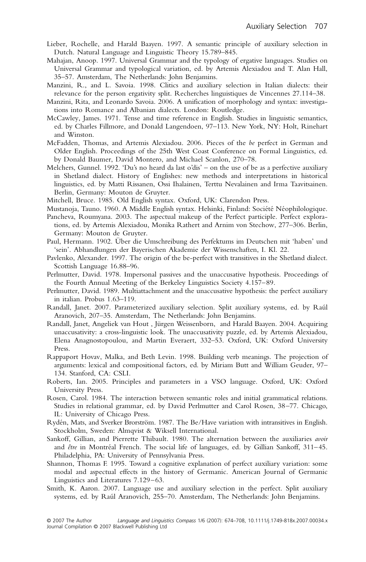- Lieber, Rochelle, and Harald Baayen. 1997. A semantic principle of auxiliary selection in Dutch. Natural Language and Linguistic Theory 15.789–845.
- Mahajan, Anoop. 1997. Universal Grammar and the typology of ergative languages. Studies on Universal Grammar and typological variation, ed. by Artemis Alexiadou and T. Alan Hall, 35–57. Amsterdam, The Netherlands: John Benjamins.
- Manzini, R., and L. Savoia. 1998. Clitics and auxiliary selection in Italian dialects: their relevance for the person ergativity split. Recherches linguistiques de Vincennes 27.114–38.
- Manzini, Rita, and Leonardo Savoia. 2006. A unification of morphology and syntax: investigations into Romance and Albanian dialects. London: Routledge.
- McCawley, James. 1971. Tense and time reference in English. Studies in linguistic semantics, ed. by Charles Fillmore, and Donald Langendoen, 97–113. New York, NY: Holt, Rinehart and Winston.
- McFadden, Thomas, and Artemis Alexiadou. 2006. Pieces of the *be* perfect in German and Older English. Proceedings of the 25th West Coast Conference on Formal Linguistics, ed. by Donald Baumer, David Montero, and Michael Scanlon, 270–78.
- Melchers, Gunnel. 1992. 'Du's no heard da last o'dis' on the use of be as a perfective auxiliary in Shetland dialect. History of Englishes: new methods and interpretations in historical linguistics, ed. by Matti Rissanen, Ossi Ihalainen, Terttu Nevalainen and Irma Taavitsainen. Berlin, Germany: Mouton de Gruyter.
- Mitchell, Bruce. 1985. Old English syntax. Oxford, UK: Clarendon Press.
- Mustanoja, Tauno. 1960. A Middle English syntax. Helsinki, Finland: Société Néophilologique.
- Pancheva, Roumyana. 2003. The aspectual makeup of the Perfect participle. Perfect explorations, ed. by Artemis Alexiadou, Monika Rathert and Arnim von Stechow, 277–306. Berlin, Germany: Mouton de Gruyter.
- Paul, Hermann. 1902. Über die Umschreibung des Perfektums im Deutschen mit 'haben' und 'sein'. Abhandlungen der Bayerischen Akademie der Wissenschaften, I. Kl. 22.
- Pavlenko, Alexander. 1997. The origin of the be-perfect with transitives in the Shetland dialect. Scottish Language 16.88–96.
- Perlmutter, David. 1978. Impersonal passives and the unaccusative hypothesis. Proceedings of the Fourth Annual Meeting of the Berkeley Linguistics Society 4.157–89.
- Perlmutter, David. 1989. Multiattachment and the unaccusative hypothesis: the perfect auxiliary in italian. Probus 1.63–119.
- Randall, Janet. 2007. Parameterized auxiliary selection. Split auxiliary systems, ed. by Raúl Aranovich, 207–35. Amsterdam, The Netherlands: John Benjamins.
- Randall, Janet, Angeliek van Hout , Jürgen Weissenborn, and Harald Baayen. 2004. Acquiring unaccusativity: a cross-linguistic look. The unaccusativity puzzle, ed. by Artemis Alexiadou, Elena Anagnostopoulou, and Martin Everaert, 332–53. Oxford, UK: Oxford University Press.
- Rappaport Hovav, Malka, and Beth Levin. 1998. Building verb meanings. The projection of arguments: lexical and compositional factors, ed. by Miriam Butt and William Geuder, 97– 134. Stanford, CA: CSLI.
- Roberts, Ian. 2005. Principles and parameters in a VSO language. Oxford, UK: Oxford University Press.
- Rosen, Carol. 1984. The interaction between semantic roles and initial grammatical relations. Studies in relational grammar, ed. by David Perlmutter and Carol Rosen, 38–77. Chicago, IL: University of Chicago Press.
- Rydén, Mats, and Sverker Brorström. 1987. The Be/Have variation with intransitives in English. Stockholm, Sweden: Almqvist & Wiksell International.
- Sankoff, Gillian, and Pierrette Thibault. 1980. The alternation between the auxiliaries *avoir* and *être* in Montréal French. The social life of languages, ed. by Gillian Sankoff, 311–45. Philadelphia, PA: University of Pennsylvania Press.
- Shannon, Thomas F. 1995. Toward a cognitive explanation of perfect auxiliary variation: some modal and aspectual effects in the history of Germanic. American Journal of Germanic Linguistics and Literatures 7.129–63.
- Smith, K. Aaron. 2007. Language use and auxiliary selection in the perfect. Split auxiliary systems, ed. by Raúl Aranovich, 255–70. Amsterdam, The Netherlands: John Benjamins.